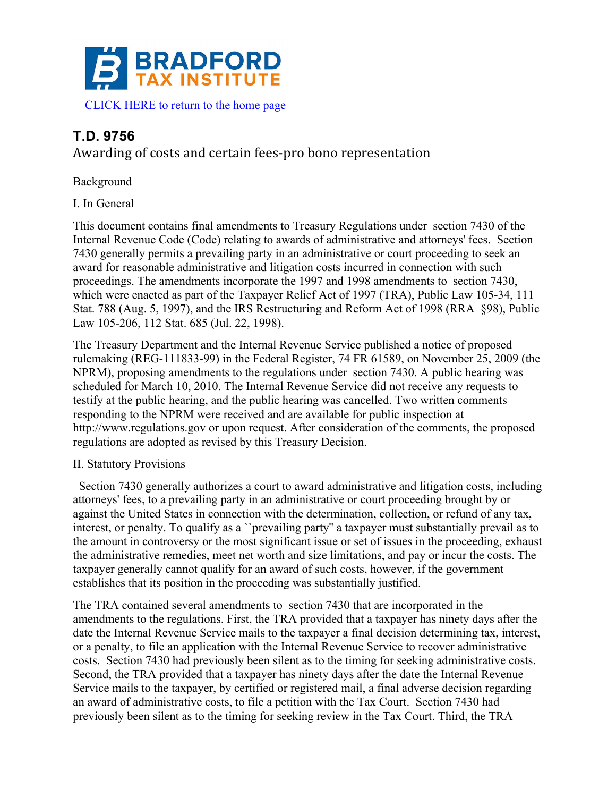

# **T.D. 9756**

Awarding of costs and certain fees-pro bono representation

Background

I. In General

This document contains final amendments to Treasury Regulations under section 7430 of the Internal Revenue Code (Code) relating to awards of administrative and attorneys' fees. Section 7430 generally permits a prevailing party in an administrative or court proceeding to seek an award for reasonable administrative and litigation costs incurred in connection with such proceedings. The amendments incorporate the 1997 and 1998 amendments to section 7430, which were enacted as part of the Taxpayer Relief Act of 1997 (TRA), Public Law 105-34, 111 Stat. 788 (Aug. 5, 1997), and the IRS Restructuring and Reform Act of 1998 (RRA §98), Public Law 105-206, 112 Stat. 685 (Jul. 22, 1998).

The Treasury Department and the Internal Revenue Service published a notice of proposed rulemaking (REG-111833-99) in the Federal Register, 74 FR 61589, on November 25, 2009 (the NPRM), proposing amendments to the regulations under section 7430. A public hearing was scheduled for March 10, 2010. The Internal Revenue Service did not receive any requests to testify at the public hearing, and the public hearing was cancelled. Two written comments responding to the NPRM were received and are available for public inspection at http://www.regulations.gov or upon request. After consideration of the comments, the proposed regulations are adopted as revised by this Treasury Decision.

## II. Statutory Provisions

 Section 7430 generally authorizes a court to award administrative and litigation costs, including attorneys' fees, to a prevailing party in an administrative or court proceeding brought by or against the United States in connection with the determination, collection, or refund of any tax, interest, or penalty. To qualify as a ``prevailing party'' a taxpayer must substantially prevail as to the amount in controversy or the most significant issue or set of issues in the proceeding, exhaust the administrative remedies, meet net worth and size limitations, and pay or incur the costs. The taxpayer generally cannot qualify for an award of such costs, however, if the government establishes that its position in the proceeding was substantially justified.

The TRA contained several amendments to section 7430 that are incorporated in the amendments to the regulations. First, the TRA provided that a taxpayer has ninety days after the date the Internal Revenue Service mails to the taxpayer a final decision determining tax, interest, or a penalty, to file an application with the Internal Revenue Service to recover administrative costs. Section 7430 had previously been silent as to the timing for seeking administrative costs. Second, the TRA provided that a taxpayer has ninety days after the date the Internal Revenue Service mails to the taxpayer, by certified or registered mail, a final adverse decision regarding an award of administrative costs, to file a petition with the Tax Court. Section 7430 had previously been silent as to the timing for seeking review in the Tax Court. Third, the TRA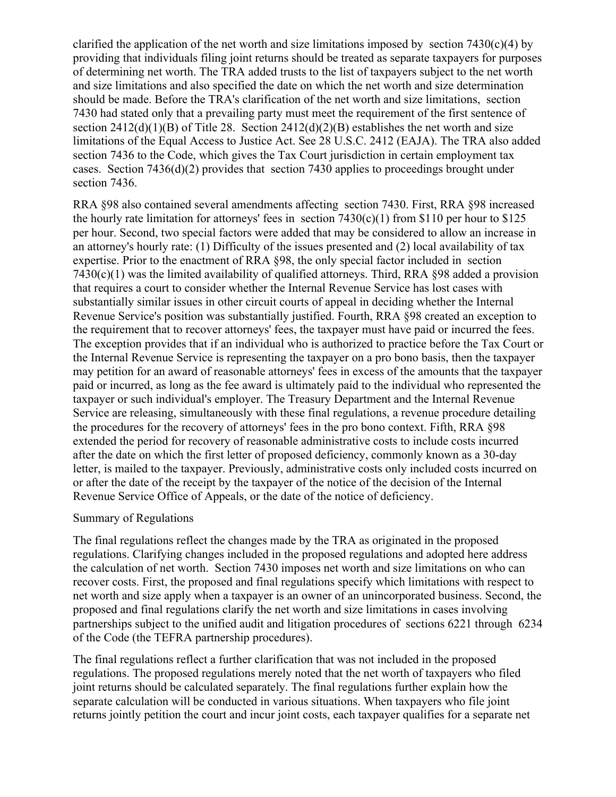clarified the application of the net worth and size limitations imposed by section  $7430(c)(4)$  by providing that individuals filing joint returns should be treated as separate taxpayers for purposes of determining net worth. The TRA added trusts to the list of taxpayers subject to the net worth and size limitations and also specified the date on which the net worth and size determination should be made. Before the TRA's clarification of the net worth and size limitations, section 7430 had stated only that a prevailing party must meet the requirement of the first sentence of section  $2412(d)(1)(B)$  of Title 28. Section  $2412(d)(2)(B)$  establishes the net worth and size limitations of the Equal Access to Justice Act. See 28 U.S.C. 2412 (EAJA). The TRA also added section 7436 to the Code, which gives the Tax Court jurisdiction in certain employment tax cases. Section 7436(d)(2) provides that section 7430 applies to proceedings brought under section 7436.

RRA §98 also contained several amendments affecting section 7430. First, RRA §98 increased the hourly rate limitation for attorneys' fees in section  $7430(c)(1)$  from \$110 per hour to \$125 per hour. Second, two special factors were added that may be considered to allow an increase in an attorney's hourly rate: (1) Difficulty of the issues presented and (2) local availability of tax expertise. Prior to the enactment of RRA §98, the only special factor included in section 7430(c)(1) was the limited availability of qualified attorneys. Third, RRA §98 added a provision that requires a court to consider whether the Internal Revenue Service has lost cases with substantially similar issues in other circuit courts of appeal in deciding whether the Internal Revenue Service's position was substantially justified. Fourth, RRA §98 created an exception to the requirement that to recover attorneys' fees, the taxpayer must have paid or incurred the fees. The exception provides that if an individual who is authorized to practice before the Tax Court or the Internal Revenue Service is representing the taxpayer on a pro bono basis, then the taxpayer may petition for an award of reasonable attorneys' fees in excess of the amounts that the taxpayer paid or incurred, as long as the fee award is ultimately paid to the individual who represented the taxpayer or such individual's employer. The Treasury Department and the Internal Revenue Service are releasing, simultaneously with these final regulations, a revenue procedure detailing the procedures for the recovery of attorneys' fees in the pro bono context. Fifth, RRA §98 extended the period for recovery of reasonable administrative costs to include costs incurred after the date on which the first letter of proposed deficiency, commonly known as a 30-day letter, is mailed to the taxpayer. Previously, administrative costs only included costs incurred on or after the date of the receipt by the taxpayer of the notice of the decision of the Internal Revenue Service Office of Appeals, or the date of the notice of deficiency.

#### Summary of Regulations

The final regulations reflect the changes made by the TRA as originated in the proposed regulations. Clarifying changes included in the proposed regulations and adopted here address the calculation of net worth. Section 7430 imposes net worth and size limitations on who can recover costs. First, the proposed and final regulations specify which limitations with respect to net worth and size apply when a taxpayer is an owner of an unincorporated business. Second, the proposed and final regulations clarify the net worth and size limitations in cases involving partnerships subject to the unified audit and litigation procedures of sections 6221 through 6234 of the Code (the TEFRA partnership procedures).

The final regulations reflect a further clarification that was not included in the proposed regulations. The proposed regulations merely noted that the net worth of taxpayers who filed joint returns should be calculated separately. The final regulations further explain how the separate calculation will be conducted in various situations. When taxpayers who file joint returns jointly petition the court and incur joint costs, each taxpayer qualifies for a separate net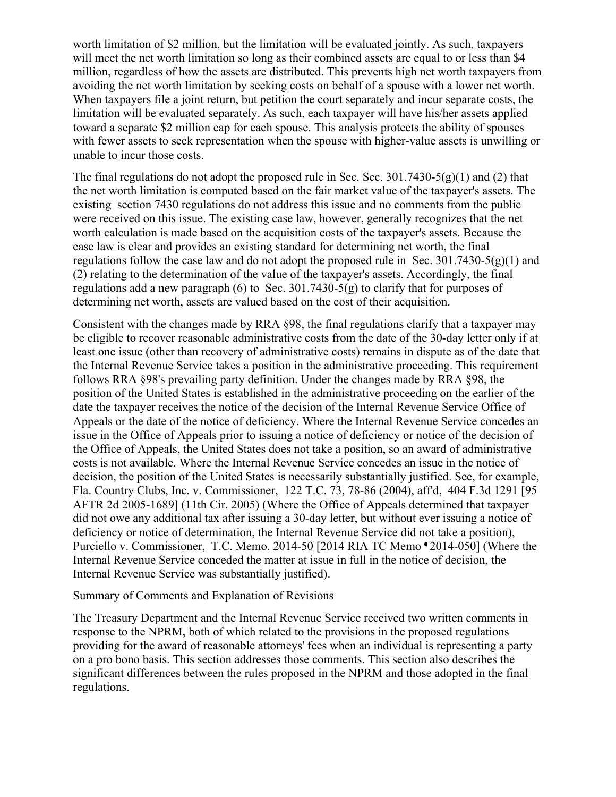worth limitation of \$2 million, but the limitation will be evaluated jointly. As such, taxpayers will meet the net worth limitation so long as their combined assets are equal to or less than \$4 million, regardless of how the assets are distributed. This prevents high net worth taxpayers from avoiding the net worth limitation by seeking costs on behalf of a spouse with a lower net worth. When taxpayers file a joint return, but petition the court separately and incur separate costs, the limitation will be evaluated separately. As such, each taxpayer will have his/her assets applied toward a separate \$2 million cap for each spouse. This analysis protects the ability of spouses with fewer assets to seek representation when the spouse with higher-value assets is unwilling or unable to incur those costs.

The final regulations do not adopt the proposed rule in Sec. Sec.  $301.7430-5(g)(1)$  and (2) that the net worth limitation is computed based on the fair market value of the taxpayer's assets. The existing section 7430 regulations do not address this issue and no comments from the public were received on this issue. The existing case law, however, generally recognizes that the net worth calculation is made based on the acquisition costs of the taxpayer's assets. Because the case law is clear and provides an existing standard for determining net worth, the final regulations follow the case law and do not adopt the proposed rule in Sec. 301.7430-5(g)(1) and (2) relating to the determination of the value of the taxpayer's assets. Accordingly, the final regulations add a new paragraph (6) to Sec. 301.7430-5(g) to clarify that for purposes of determining net worth, assets are valued based on the cost of their acquisition.

Consistent with the changes made by RRA §98, the final regulations clarify that a taxpayer may be eligible to recover reasonable administrative costs from the date of the 30-day letter only if at least one issue (other than recovery of administrative costs) remains in dispute as of the date that the Internal Revenue Service takes a position in the administrative proceeding. This requirement follows RRA §98's prevailing party definition. Under the changes made by RRA §98, the position of the United States is established in the administrative proceeding on the earlier of the date the taxpayer receives the notice of the decision of the Internal Revenue Service Office of Appeals or the date of the notice of deficiency. Where the Internal Revenue Service concedes an issue in the Office of Appeals prior to issuing a notice of deficiency or notice of the decision of the Office of Appeals, the United States does not take a position, so an award of administrative costs is not available. Where the Internal Revenue Service concedes an issue in the notice of decision, the position of the United States is necessarily substantially justified. See, for example, Fla. Country Clubs, Inc. v. Commissioner, 122 T.C. 73, 78-86 (2004), aff'd, 404 F.3d 1291 [95 AFTR 2d 2005-1689] (11th Cir. 2005) (Where the Office of Appeals determined that taxpayer did not owe any additional tax after issuing a 30-day letter, but without ever issuing a notice of deficiency or notice of determination, the Internal Revenue Service did not take a position), Purciello v. Commissioner, T.C. Memo. 2014-50 [2014 RIA TC Memo ¶2014-050] (Where the Internal Revenue Service conceded the matter at issue in full in the notice of decision, the Internal Revenue Service was substantially justified).

#### Summary of Comments and Explanation of Revisions

The Treasury Department and the Internal Revenue Service received two written comments in response to the NPRM, both of which related to the provisions in the proposed regulations providing for the award of reasonable attorneys' fees when an individual is representing a party on a pro bono basis. This section addresses those comments. This section also describes the significant differences between the rules proposed in the NPRM and those adopted in the final regulations.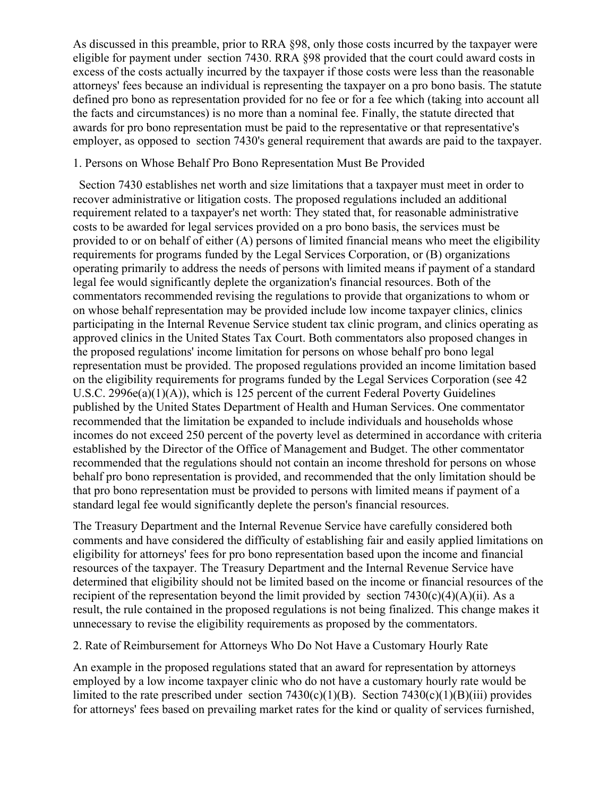As discussed in this preamble, prior to RRA §98, only those costs incurred by the taxpayer were eligible for payment under section 7430. RRA §98 provided that the court could award costs in excess of the costs actually incurred by the taxpayer if those costs were less than the reasonable attorneys' fees because an individual is representing the taxpayer on a pro bono basis. The statute defined pro bono as representation provided for no fee or for a fee which (taking into account all the facts and circumstances) is no more than a nominal fee. Finally, the statute directed that awards for pro bono representation must be paid to the representative or that representative's employer, as opposed to section 7430's general requirement that awards are paid to the taxpayer.

#### 1. Persons on Whose Behalf Pro Bono Representation Must Be Provided

 Section 7430 establishes net worth and size limitations that a taxpayer must meet in order to recover administrative or litigation costs. The proposed regulations included an additional requirement related to a taxpayer's net worth: They stated that, for reasonable administrative costs to be awarded for legal services provided on a pro bono basis, the services must be provided to or on behalf of either (A) persons of limited financial means who meet the eligibility requirements for programs funded by the Legal Services Corporation, or (B) organizations operating primarily to address the needs of persons with limited means if payment of a standard legal fee would significantly deplete the organization's financial resources. Both of the commentators recommended revising the regulations to provide that organizations to whom or on whose behalf representation may be provided include low income taxpayer clinics, clinics participating in the Internal Revenue Service student tax clinic program, and clinics operating as approved clinics in the United States Tax Court. Both commentators also proposed changes in the proposed regulations' income limitation for persons on whose behalf pro bono legal representation must be provided. The proposed regulations provided an income limitation based on the eligibility requirements for programs funded by the Legal Services Corporation (see 42 U.S.C. 2996e(a)(1)(A)), which is 125 percent of the current Federal Poverty Guidelines published by the United States Department of Health and Human Services. One commentator recommended that the limitation be expanded to include individuals and households whose incomes do not exceed 250 percent of the poverty level as determined in accordance with criteria established by the Director of the Office of Management and Budget. The other commentator recommended that the regulations should not contain an income threshold for persons on whose behalf pro bono representation is provided, and recommended that the only limitation should be that pro bono representation must be provided to persons with limited means if payment of a standard legal fee would significantly deplete the person's financial resources.

The Treasury Department and the Internal Revenue Service have carefully considered both comments and have considered the difficulty of establishing fair and easily applied limitations on eligibility for attorneys' fees for pro bono representation based upon the income and financial resources of the taxpayer. The Treasury Department and the Internal Revenue Service have determined that eligibility should not be limited based on the income or financial resources of the recipient of the representation beyond the limit provided by section  $7430(c)(4)(A)(ii)$ . As a result, the rule contained in the proposed regulations is not being finalized. This change makes it unnecessary to revise the eligibility requirements as proposed by the commentators.

## 2. Rate of Reimbursement for Attorneys Who Do Not Have a Customary Hourly Rate

An example in the proposed regulations stated that an award for representation by attorneys employed by a low income taxpayer clinic who do not have a customary hourly rate would be limited to the rate prescribed under section  $7430(c)(1)(B)$ . Section  $7430(c)(1)(B)(iii)$  provides for attorneys' fees based on prevailing market rates for the kind or quality of services furnished,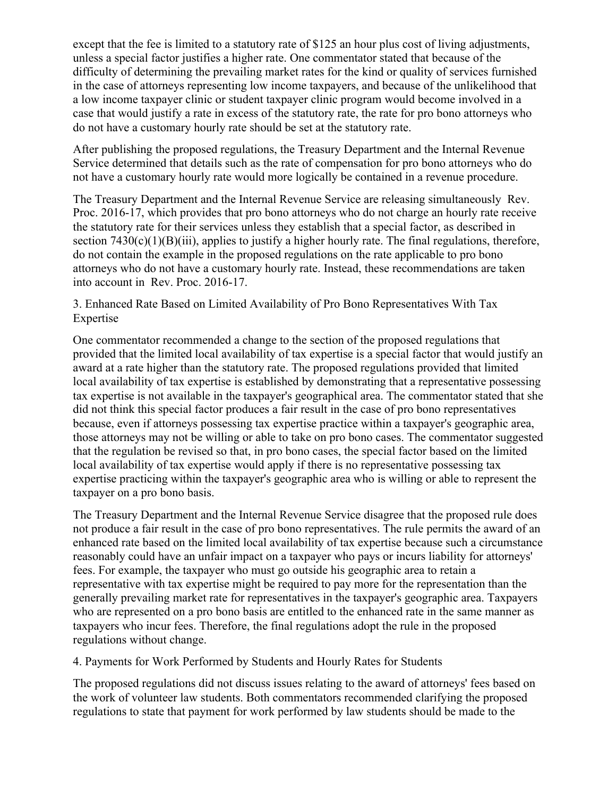except that the fee is limited to a statutory rate of \$125 an hour plus cost of living adjustments, unless a special factor justifies a higher rate. One commentator stated that because of the difficulty of determining the prevailing market rates for the kind or quality of services furnished in the case of attorneys representing low income taxpayers, and because of the unlikelihood that a low income taxpayer clinic or student taxpayer clinic program would become involved in a case that would justify a rate in excess of the statutory rate, the rate for pro bono attorneys who do not have a customary hourly rate should be set at the statutory rate.

After publishing the proposed regulations, the Treasury Department and the Internal Revenue Service determined that details such as the rate of compensation for pro bono attorneys who do not have a customary hourly rate would more logically be contained in a revenue procedure.

The Treasury Department and the Internal Revenue Service are releasing simultaneously Rev. Proc. 2016-17, which provides that pro bono attorneys who do not charge an hourly rate receive the statutory rate for their services unless they establish that a special factor, as described in section  $7430(c)(1)(B)(iii)$ , applies to justify a higher hourly rate. The final regulations, therefore, do not contain the example in the proposed regulations on the rate applicable to pro bono attorneys who do not have a customary hourly rate. Instead, these recommendations are taken into account in Rev. Proc. 2016-17.

3. Enhanced Rate Based on Limited Availability of Pro Bono Representatives With Tax Expertise

One commentator recommended a change to the section of the proposed regulations that provided that the limited local availability of tax expertise is a special factor that would justify an award at a rate higher than the statutory rate. The proposed regulations provided that limited local availability of tax expertise is established by demonstrating that a representative possessing tax expertise is not available in the taxpayer's geographical area. The commentator stated that she did not think this special factor produces a fair result in the case of pro bono representatives because, even if attorneys possessing tax expertise practice within a taxpayer's geographic area, those attorneys may not be willing or able to take on pro bono cases. The commentator suggested that the regulation be revised so that, in pro bono cases, the special factor based on the limited local availability of tax expertise would apply if there is no representative possessing tax expertise practicing within the taxpayer's geographic area who is willing or able to represent the taxpayer on a pro bono basis.

The Treasury Department and the Internal Revenue Service disagree that the proposed rule does not produce a fair result in the case of pro bono representatives. The rule permits the award of an enhanced rate based on the limited local availability of tax expertise because such a circumstance reasonably could have an unfair impact on a taxpayer who pays or incurs liability for attorneys' fees. For example, the taxpayer who must go outside his geographic area to retain a representative with tax expertise might be required to pay more for the representation than the generally prevailing market rate for representatives in the taxpayer's geographic area. Taxpayers who are represented on a pro bono basis are entitled to the enhanced rate in the same manner as taxpayers who incur fees. Therefore, the final regulations adopt the rule in the proposed regulations without change.

4. Payments for Work Performed by Students and Hourly Rates for Students

The proposed regulations did not discuss issues relating to the award of attorneys' fees based on the work of volunteer law students. Both commentators recommended clarifying the proposed regulations to state that payment for work performed by law students should be made to the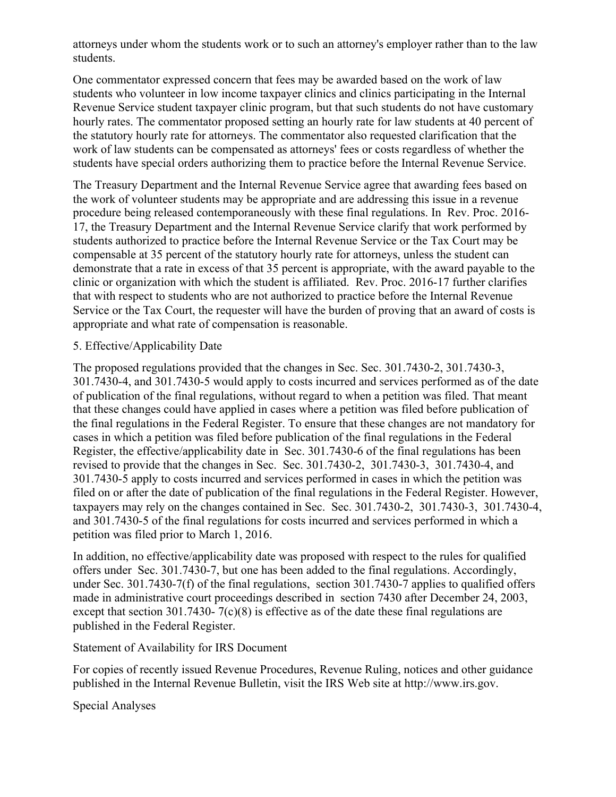attorneys under whom the students work or to such an attorney's employer rather than to the law students.

One commentator expressed concern that fees may be awarded based on the work of law students who volunteer in low income taxpayer clinics and clinics participating in the Internal Revenue Service student taxpayer clinic program, but that such students do not have customary hourly rates. The commentator proposed setting an hourly rate for law students at 40 percent of the statutory hourly rate for attorneys. The commentator also requested clarification that the work of law students can be compensated as attorneys' fees or costs regardless of whether the students have special orders authorizing them to practice before the Internal Revenue Service.

The Treasury Department and the Internal Revenue Service agree that awarding fees based on the work of volunteer students may be appropriate and are addressing this issue in a revenue procedure being released contemporaneously with these final regulations. In Rev. Proc. 2016- 17, the Treasury Department and the Internal Revenue Service clarify that work performed by students authorized to practice before the Internal Revenue Service or the Tax Court may be compensable at 35 percent of the statutory hourly rate for attorneys, unless the student can demonstrate that a rate in excess of that 35 percent is appropriate, with the award payable to the clinic or organization with which the student is affiliated. Rev. Proc. 2016-17 further clarifies that with respect to students who are not authorized to practice before the Internal Revenue Service or the Tax Court, the requester will have the burden of proving that an award of costs is appropriate and what rate of compensation is reasonable.

#### 5. Effective/Applicability Date

The proposed regulations provided that the changes in Sec. Sec. 301.7430-2, 301.7430-3, 301.7430-4, and 301.7430-5 would apply to costs incurred and services performed as of the date of publication of the final regulations, without regard to when a petition was filed. That meant that these changes could have applied in cases where a petition was filed before publication of the final regulations in the Federal Register. To ensure that these changes are not mandatory for cases in which a petition was filed before publication of the final regulations in the Federal Register, the effective/applicability date in Sec. 301.7430-6 of the final regulations has been revised to provide that the changes in Sec. Sec. 301.7430-2, 301.7430-3, 301.7430-4, and 301.7430-5 apply to costs incurred and services performed in cases in which the petition was filed on or after the date of publication of the final regulations in the Federal Register. However, taxpayers may rely on the changes contained in Sec. Sec. 301.7430-2, 301.7430-3, 301.7430-4, and 301.7430-5 of the final regulations for costs incurred and services performed in which a petition was filed prior to March 1, 2016.

In addition, no effective/applicability date was proposed with respect to the rules for qualified offers under Sec. 301.7430-7, but one has been added to the final regulations. Accordingly, under Sec. 301.7430-7(f) of the final regulations, section 301.7430-7 applies to qualified offers made in administrative court proceedings described in section 7430 after December 24, 2003, except that section 301.7430- 7(c)(8) is effective as of the date these final regulations are published in the Federal Register.

## Statement of Availability for IRS Document

For copies of recently issued Revenue Procedures, Revenue Ruling, notices and other guidance published in the Internal Revenue Bulletin, visit the IRS Web site at http://www.irs.gov.

Special Analyses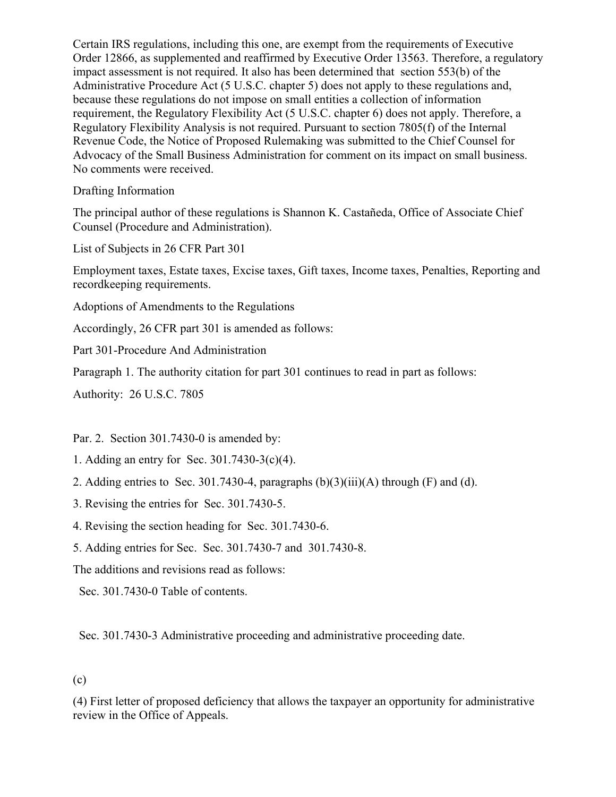Certain IRS regulations, including this one, are exempt from the requirements of Executive Order 12866, as supplemented and reaffirmed by Executive Order 13563. Therefore, a regulatory impact assessment is not required. It also has been determined that section 553(b) of the Administrative Procedure Act (5 U.S.C. chapter 5) does not apply to these regulations and, because these regulations do not impose on small entities a collection of information requirement, the Regulatory Flexibility Act (5 U.S.C. chapter 6) does not apply. Therefore, a Regulatory Flexibility Analysis is not required. Pursuant to section 7805(f) of the Internal Revenue Code, the Notice of Proposed Rulemaking was submitted to the Chief Counsel for Advocacy of the Small Business Administration for comment on its impact on small business. No comments were received.

Drafting Information

The principal author of these regulations is Shannon K. Castañeda, Office of Associate Chief Counsel (Procedure and Administration).

List of Subjects in 26 CFR Part 301

Employment taxes, Estate taxes, Excise taxes, Gift taxes, Income taxes, Penalties, Reporting and recordkeeping requirements.

Adoptions of Amendments to the Regulations

Accordingly, 26 CFR part 301 is amended as follows:

Part 301-Procedure And Administration

Paragraph 1. The authority citation for part 301 continues to read in part as follows:

Authority: 26 U.S.C. 7805

Par. 2. Section 301.7430-0 is amended by:

- 1. Adding an entry for Sec. 301.7430-3(c)(4).
- 2. Adding entries to Sec. 301.7430-4, paragraphs  $(b)(3)(iii)(A)$  through  $(F)$  and  $(d)$ .
- 3. Revising the entries for Sec. 301.7430-5.
- 4. Revising the section heading for Sec. 301.7430-6.
- 5. Adding entries for Sec. Sec. 301.7430-7 and 301.7430-8.

The additions and revisions read as follows:

Sec. 301.7430-0 Table of contents.

Sec. 301.7430-3 Administrative proceeding and administrative proceeding date.

## (c)

(4) First letter of proposed deficiency that allows the taxpayer an opportunity for administrative review in the Office of Appeals.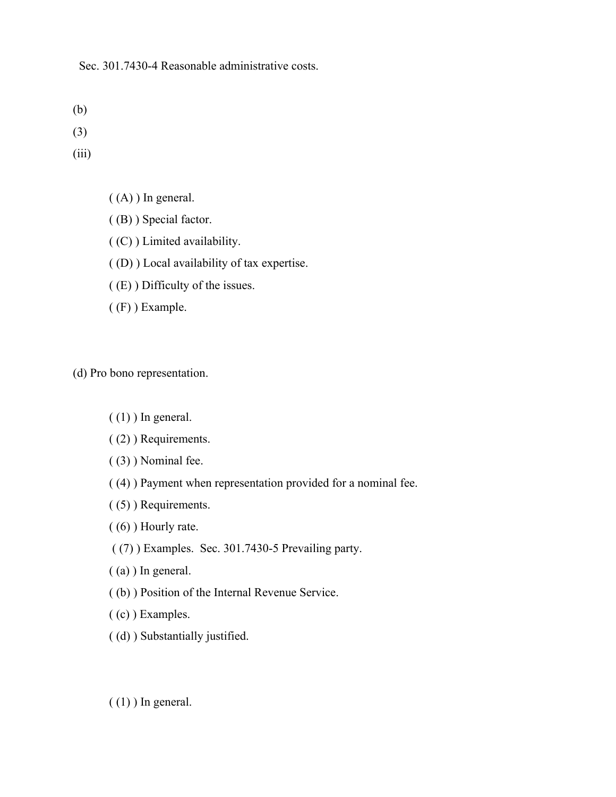Sec. 301.7430-4 Reasonable administrative costs.

- (b)
- (3)
- (iii)
- $((A))$  In general.
- ( (B) ) Special factor.
- ( (C) ) Limited availability.
- ( (D) ) Local availability of tax expertise.
- ( (E) ) Difficulty of the issues.
- ( (F) ) Example.

(d) Pro bono representation.

- $(1)$ ) In general.
- ( (2) ) Requirements.
- ( (3) ) Nominal fee.
- ( (4) ) Payment when representation provided for a nominal fee.
- ( (5) ) Requirements.
- ( (6) ) Hourly rate.
- ( (7) ) Examples. Sec. 301.7430-5 Prevailing party.
- ( (a) ) In general.
- ( (b) ) Position of the Internal Revenue Service.
- ( (c) ) Examples.
- ( (d) ) Substantially justified.
- $(1)$ ) In general.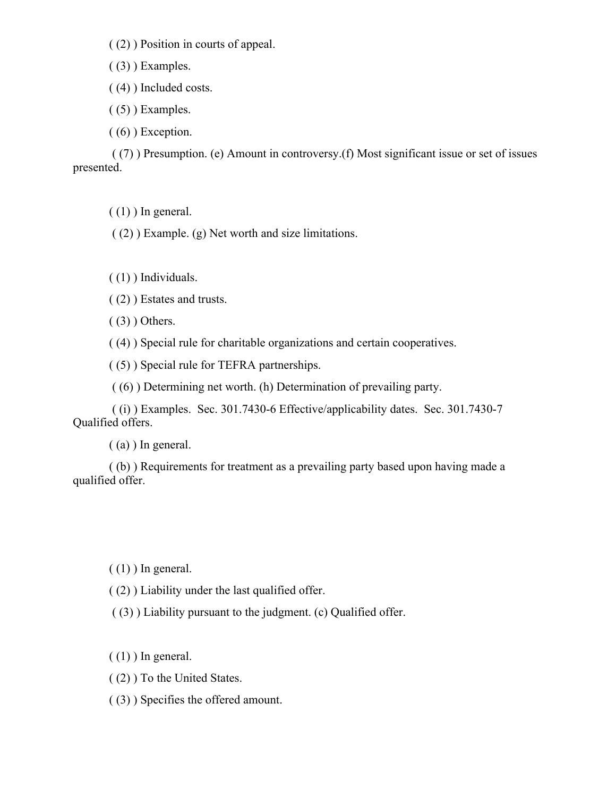( (2) ) Position in courts of appeal.

 $(3)$ ) Examples.

( (4) ) Included costs.

 $( (5) )$  Examples.

 $( (6) )$  Exception.

( (7) ) Presumption. (e) Amount in controversy.(f) Most significant issue or set of issues presented.

 $(1)$ ) In general.

( (2) ) Example. (g) Net worth and size limitations.

( (1) ) Individuals.

( (2) ) Estates and trusts.

 $(3)$ ) Others.

( (4) ) Special rule for charitable organizations and certain cooperatives.

( (5) ) Special rule for TEFRA partnerships.

( (6) ) Determining net worth. (h) Determination of prevailing party.

( (i) ) Examples. Sec. 301.7430-6 Effective/applicability dates. Sec. 301.7430-7 Qualified offers.

( (a) ) In general.

( (b) ) Requirements for treatment as a prevailing party based upon having made a qualified offer.

 $(1)$ ) In general.

( (2) ) Liability under the last qualified offer.

( (3) ) Liability pursuant to the judgment. (c) Qualified offer.

 $(1)$ ) In general.

( (2) ) To the United States.

( (3) ) Specifies the offered amount.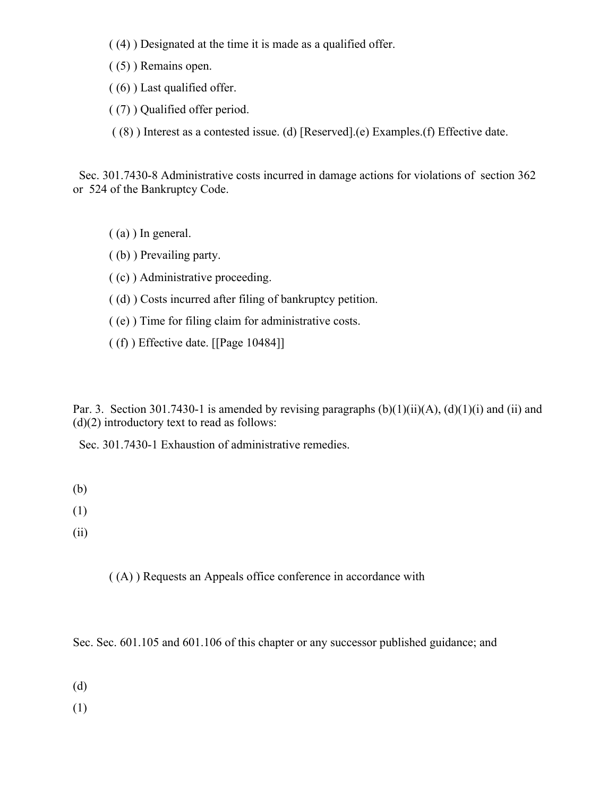- ( (4) ) Designated at the time it is made as a qualified offer.
- ( (5) ) Remains open.
- ( (6) ) Last qualified offer.
- ( (7) ) Qualified offer period.

( (8) ) Interest as a contested issue. (d) [Reserved].(e) Examples.(f) Effective date.

 Sec. 301.7430-8 Administrative costs incurred in damage actions for violations of section 362 or 524 of the Bankruptcy Code.

- ( (a) ) In general.
- ( (b) ) Prevailing party.
- ( (c) ) Administrative proceeding.
- ( (d) ) Costs incurred after filing of bankruptcy petition.
- ( (e) ) Time for filing claim for administrative costs.
- ( (f) ) Effective date. [[Page 10484]]

Par. 3. Section 301.7430-1 is amended by revising paragraphs  $(b)(1)(ii)(A)$ ,  $(d)(1)(i)$  and  $(ii)$  and  $(d)(2)$  introductory text to read as follows:

Sec. 301.7430-1 Exhaustion of administrative remedies.

- (b)
- (1)
- (ii)

( (A) ) Requests an Appeals office conference in accordance with

Sec. Sec. 601.105 and 601.106 of this chapter or any successor published guidance; and

(d)

(1)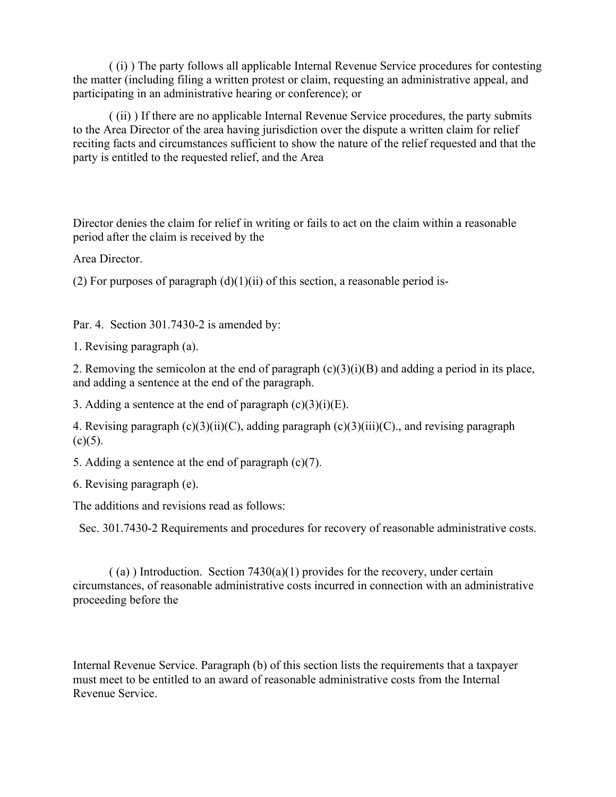( (i) ) The party follows all applicable Internal Revenue Service procedures for contesting the matter (including filing a written protest or claim, requesting an administrative appeal, and participating in an administrative hearing or conference); or

( (ii) ) If there are no applicable Internal Revenue Service procedures, the party submits to the Area Director of the area having jurisdiction over the dispute a written claim for relief reciting facts and circumstances sufficient to show the nature of the relief requested and that the party is entitled to the requested relief, and the Area

Director denies the claim for relief in writing or fails to act on the claim within a reasonable period after the claim is received by the

Area Director.

(2) For purposes of paragraph  $(d)(1)(ii)$  of this section, a reasonable period is-

Par. 4. Section 301.7430-2 is amended by:

1. Revising paragraph (a).

2. Removing the semicolon at the end of paragraph  $(c)(3)(i)(B)$  and adding a period in its place, and adding a sentence at the end of the paragraph.

3. Adding a sentence at the end of paragraph  $(c)(3)(i)(E)$ .

4. Revising paragraph  $(c)(3)(ii)(C)$ , adding paragraph  $(c)(3)(iii)(C)$ ., and revising paragraph  $(c)(5)$ .

5. Adding a sentence at the end of paragraph (c)(7).

6. Revising paragraph (e).

The additions and revisions read as follows:

Sec. 301.7430-2 Requirements and procedures for recovery of reasonable administrative costs.

 $($  (a) ) Introduction. Section 7430(a)(1) provides for the recovery, under certain circumstances, of reasonable administrative costs incurred in connection with an administrative proceeding before the

Internal Revenue Service. Paragraph (b) of this section lists the requirements that a taxpayer must meet to be entitled to an award of reasonable administrative costs from the Internal Revenue Service.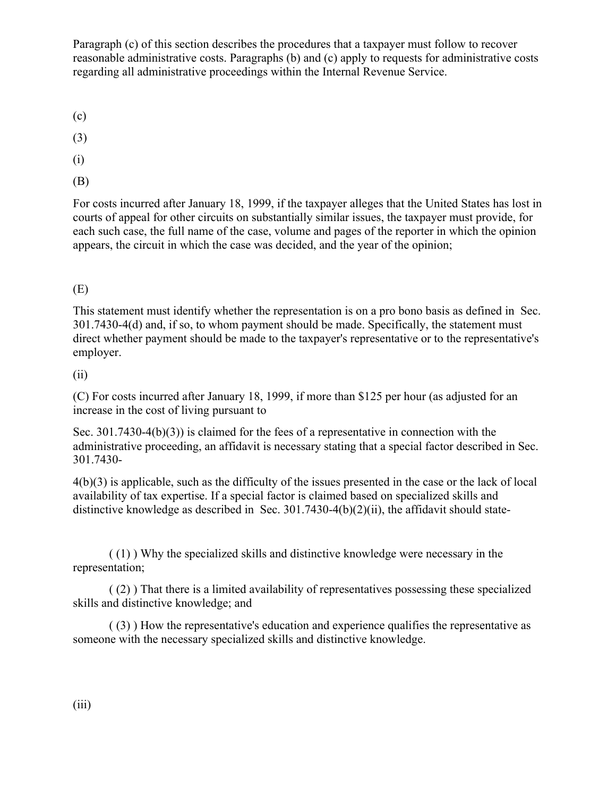Paragraph (c) of this section describes the procedures that a taxpayer must follow to recover reasonable administrative costs. Paragraphs (b) and (c) apply to requests for administrative costs regarding all administrative proceedings within the Internal Revenue Service.

(c)

(3)

(i)

(B)

For costs incurred after January 18, 1999, if the taxpayer alleges that the United States has lost in courts of appeal for other circuits on substantially similar issues, the taxpayer must provide, for each such case, the full name of the case, volume and pages of the reporter in which the opinion appears, the circuit in which the case was decided, and the year of the opinion;

# (E)

This statement must identify whether the representation is on a pro bono basis as defined in Sec. 301.7430-4(d) and, if so, to whom payment should be made. Specifically, the statement must direct whether payment should be made to the taxpayer's representative or to the representative's employer.

#### (ii)

(C) For costs incurred after January 18, 1999, if more than \$125 per hour (as adjusted for an increase in the cost of living pursuant to

Sec. 301.7430-4(b)(3)) is claimed for the fees of a representative in connection with the administrative proceeding, an affidavit is necessary stating that a special factor described in Sec. 301.7430-

4(b)(3) is applicable, such as the difficulty of the issues presented in the case or the lack of local availability of tax expertise. If a special factor is claimed based on specialized skills and distinctive knowledge as described in Sec. 301.7430-4(b)(2)(ii), the affidavit should state-

( (1) ) Why the specialized skills and distinctive knowledge were necessary in the representation;

( (2) ) That there is a limited availability of representatives possessing these specialized skills and distinctive knowledge; and

( (3) ) How the representative's education and experience qualifies the representative as someone with the necessary specialized skills and distinctive knowledge.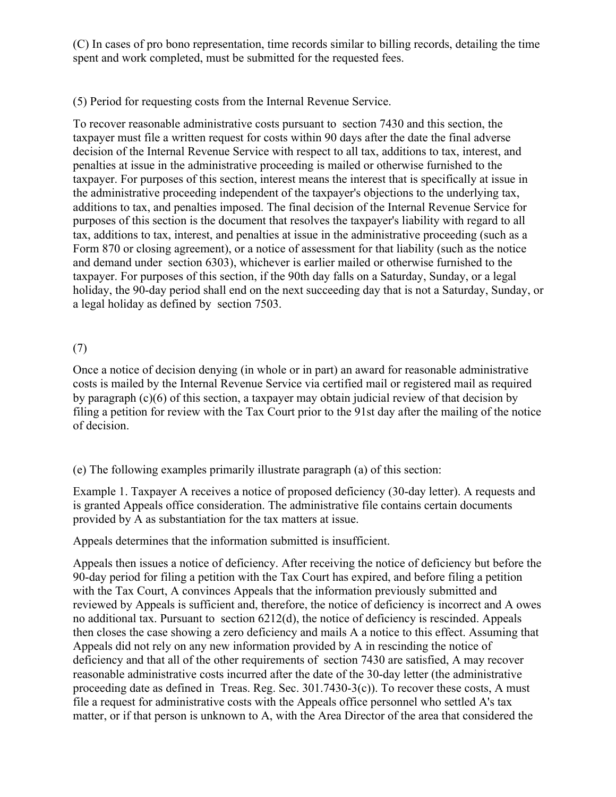(C) In cases of pro bono representation, time records similar to billing records, detailing the time spent and work completed, must be submitted for the requested fees.

# (5) Period for requesting costs from the Internal Revenue Service.

To recover reasonable administrative costs pursuant to section 7430 and this section, the taxpayer must file a written request for costs within 90 days after the date the final adverse decision of the Internal Revenue Service with respect to all tax, additions to tax, interest, and penalties at issue in the administrative proceeding is mailed or otherwise furnished to the taxpayer. For purposes of this section, interest means the interest that is specifically at issue in the administrative proceeding independent of the taxpayer's objections to the underlying tax, additions to tax, and penalties imposed. The final decision of the Internal Revenue Service for purposes of this section is the document that resolves the taxpayer's liability with regard to all tax, additions to tax, interest, and penalties at issue in the administrative proceeding (such as a Form 870 or closing agreement), or a notice of assessment for that liability (such as the notice and demand under section 6303), whichever is earlier mailed or otherwise furnished to the taxpayer. For purposes of this section, if the 90th day falls on a Saturday, Sunday, or a legal holiday, the 90-day period shall end on the next succeeding day that is not a Saturday, Sunday, or a legal holiday as defined by section 7503.

## (7)

Once a notice of decision denying (in whole or in part) an award for reasonable administrative costs is mailed by the Internal Revenue Service via certified mail or registered mail as required by paragraph  $(c)(6)$  of this section, a taxpayer may obtain judicial review of that decision by filing a petition for review with the Tax Court prior to the 91st day after the mailing of the notice of decision.

(e) The following examples primarily illustrate paragraph (a) of this section:

Example 1. Taxpayer A receives a notice of proposed deficiency (30-day letter). A requests and is granted Appeals office consideration. The administrative file contains certain documents provided by A as substantiation for the tax matters at issue.

Appeals determines that the information submitted is insufficient.

Appeals then issues a notice of deficiency. After receiving the notice of deficiency but before the 90-day period for filing a petition with the Tax Court has expired, and before filing a petition with the Tax Court, A convinces Appeals that the information previously submitted and reviewed by Appeals is sufficient and, therefore, the notice of deficiency is incorrect and A owes no additional tax. Pursuant to section 6212(d), the notice of deficiency is rescinded. Appeals then closes the case showing a zero deficiency and mails A a notice to this effect. Assuming that Appeals did not rely on any new information provided by A in rescinding the notice of deficiency and that all of the other requirements of section 7430 are satisfied, A may recover reasonable administrative costs incurred after the date of the 30-day letter (the administrative proceeding date as defined in Treas. Reg. Sec.  $301.7430-3(c)$ ). To recover these costs, A must file a request for administrative costs with the Appeals office personnel who settled A's tax matter, or if that person is unknown to A, with the Area Director of the area that considered the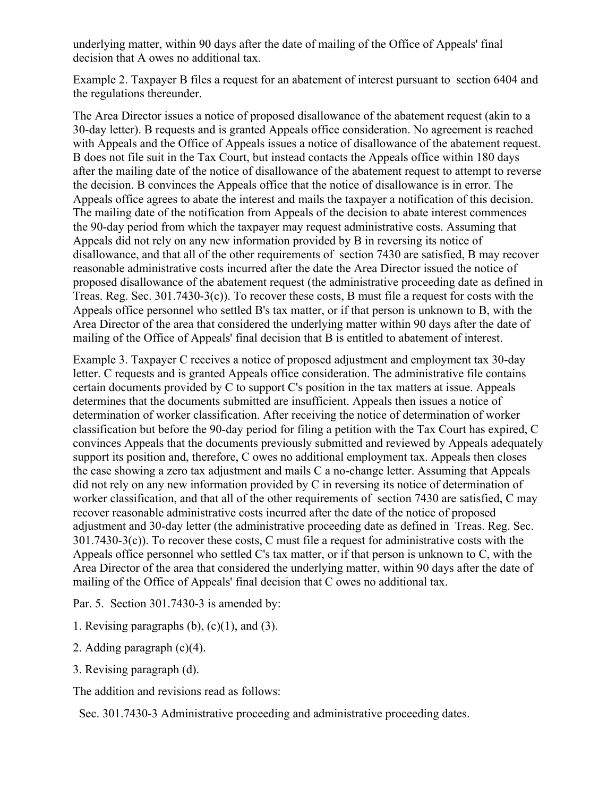underlying matter, within 90 days after the date of mailing of the Office of Appeals' final decision that A owes no additional tax.

Example 2. Taxpayer B files a request for an abatement of interest pursuant to section 6404 and the regulations thereunder.

The Area Director issues a notice of proposed disallowance of the abatement request (akin to a 30-day letter). B requests and is granted Appeals office consideration. No agreement is reached with Appeals and the Office of Appeals issues a notice of disallowance of the abatement request. B does not file suit in the Tax Court, but instead contacts the Appeals office within 180 days after the mailing date of the notice of disallowance of the abatement request to attempt to reverse the decision. B convinces the Appeals office that the notice of disallowance is in error. The Appeals office agrees to abate the interest and mails the taxpayer a notification of this decision. The mailing date of the notification from Appeals of the decision to abate interest commences the 90-day period from which the taxpayer may request administrative costs. Assuming that Appeals did not rely on any new information provided by B in reversing its notice of disallowance, and that all of the other requirements of section 7430 are satisfied, B may recover reasonable administrative costs incurred after the date the Area Director issued the notice of proposed disallowance of the abatement request (the administrative proceeding date as defined in Treas. Reg. Sec. 301.7430-3(c)). To recover these costs, B must file a request for costs with the Appeals office personnel who settled B's tax matter, or if that person is unknown to B, with the Area Director of the area that considered the underlying matter within 90 days after the date of mailing of the Office of Appeals' final decision that B is entitled to abatement of interest.

Example 3. Taxpayer C receives a notice of proposed adjustment and employment tax 30-day letter. C requests and is granted Appeals office consideration. The administrative file contains certain documents provided by C to support C's position in the tax matters at issue. Appeals determines that the documents submitted are insufficient. Appeals then issues a notice of determination of worker classification. After receiving the notice of determination of worker classification but before the 90-day period for filing a petition with the Tax Court has expired, C convinces Appeals that the documents previously submitted and reviewed by Appeals adequately support its position and, therefore, C owes no additional employment tax. Appeals then closes the case showing a zero tax adjustment and mails C a no-change letter. Assuming that Appeals did not rely on any new information provided by C in reversing its notice of determination of worker classification, and that all of the other requirements of section 7430 are satisfied, C may recover reasonable administrative costs incurred after the date of the notice of proposed adjustment and 30-day letter (the administrative proceeding date as defined in Treas. Reg. Sec. 301.7430-3(c)). To recover these costs, C must file a request for administrative costs with the Appeals office personnel who settled C's tax matter, or if that person is unknown to C, with the Area Director of the area that considered the underlying matter, within 90 days after the date of mailing of the Office of Appeals' final decision that C owes no additional tax.

Par. 5. Section 301.7430-3 is amended by:

- 1. Revising paragraphs  $(b)$ ,  $(c)(1)$ , and  $(3)$ .
- 2. Adding paragraph (c)(4).
- 3. Revising paragraph (d).

The addition and revisions read as follows:

Sec. 301.7430-3 Administrative proceeding and administrative proceeding dates.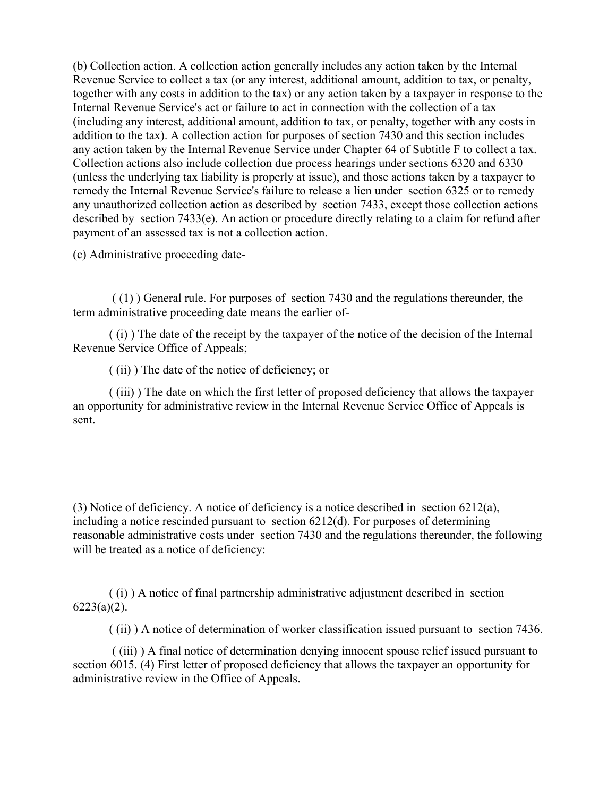(b) Collection action. A collection action generally includes any action taken by the Internal Revenue Service to collect a tax (or any interest, additional amount, addition to tax, or penalty, together with any costs in addition to the tax) or any action taken by a taxpayer in response to the Internal Revenue Service's act or failure to act in connection with the collection of a tax (including any interest, additional amount, addition to tax, or penalty, together with any costs in addition to the tax). A collection action for purposes of section 7430 and this section includes any action taken by the Internal Revenue Service under Chapter 64 of Subtitle F to collect a tax. Collection actions also include collection due process hearings under sections 6320 and 6330 (unless the underlying tax liability is properly at issue), and those actions taken by a taxpayer to remedy the Internal Revenue Service's failure to release a lien under section 6325 or to remedy any unauthorized collection action as described by section 7433, except those collection actions described by section 7433(e). An action or procedure directly relating to a claim for refund after payment of an assessed tax is not a collection action.

(c) Administrative proceeding date-

( (1) ) General rule. For purposes of section 7430 and the regulations thereunder, the term administrative proceeding date means the earlier of-

( (i) ) The date of the receipt by the taxpayer of the notice of the decision of the Internal Revenue Service Office of Appeals;

( (ii) ) The date of the notice of deficiency; or

( (iii) ) The date on which the first letter of proposed deficiency that allows the taxpayer an opportunity for administrative review in the Internal Revenue Service Office of Appeals is sent.

(3) Notice of deficiency. A notice of deficiency is a notice described in section 6212(a), including a notice rescinded pursuant to section 6212(d). For purposes of determining reasonable administrative costs under section 7430 and the regulations thereunder, the following will be treated as a notice of deficiency:

( (i) ) A notice of final partnership administrative adjustment described in section  $6223(a)(2)$ .

( (ii) ) A notice of determination of worker classification issued pursuant to section 7436.

( (iii) ) A final notice of determination denying innocent spouse relief issued pursuant to section 6015. (4) First letter of proposed deficiency that allows the taxpayer an opportunity for administrative review in the Office of Appeals.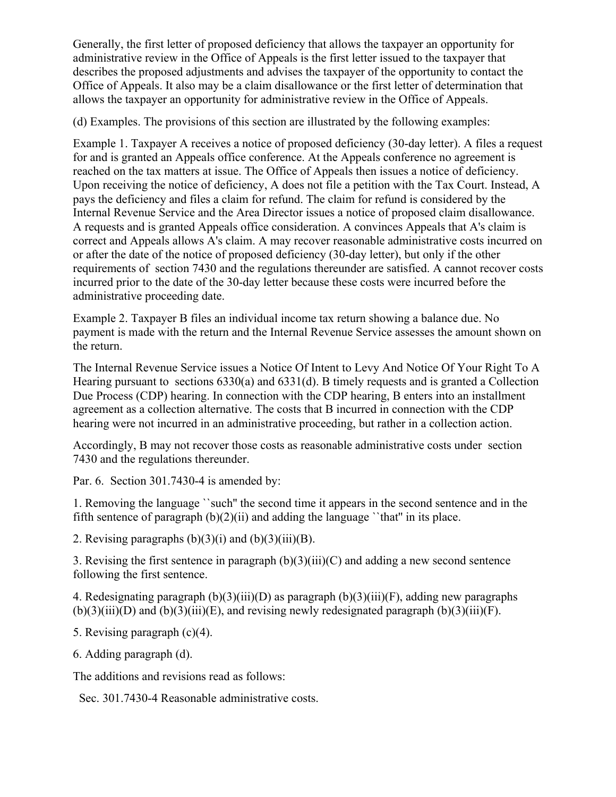Generally, the first letter of proposed deficiency that allows the taxpayer an opportunity for administrative review in the Office of Appeals is the first letter issued to the taxpayer that describes the proposed adjustments and advises the taxpayer of the opportunity to contact the Office of Appeals. It also may be a claim disallowance or the first letter of determination that allows the taxpayer an opportunity for administrative review in the Office of Appeals.

(d) Examples. The provisions of this section are illustrated by the following examples:

Example 1. Taxpayer A receives a notice of proposed deficiency (30-day letter). A files a request for and is granted an Appeals office conference. At the Appeals conference no agreement is reached on the tax matters at issue. The Office of Appeals then issues a notice of deficiency. Upon receiving the notice of deficiency, A does not file a petition with the Tax Court. Instead, A pays the deficiency and files a claim for refund. The claim for refund is considered by the Internal Revenue Service and the Area Director issues a notice of proposed claim disallowance. A requests and is granted Appeals office consideration. A convinces Appeals that A's claim is correct and Appeals allows A's claim. A may recover reasonable administrative costs incurred on or after the date of the notice of proposed deficiency (30-day letter), but only if the other requirements of section 7430 and the regulations thereunder are satisfied. A cannot recover costs incurred prior to the date of the 30-day letter because these costs were incurred before the administrative proceeding date.

Example 2. Taxpayer B files an individual income tax return showing a balance due. No payment is made with the return and the Internal Revenue Service assesses the amount shown on the return.

The Internal Revenue Service issues a Notice Of Intent to Levy And Notice Of Your Right To A Hearing pursuant to sections 6330(a) and 6331(d). B timely requests and is granted a Collection Due Process (CDP) hearing. In connection with the CDP hearing, B enters into an installment agreement as a collection alternative. The costs that B incurred in connection with the CDP hearing were not incurred in an administrative proceeding, but rather in a collection action.

Accordingly, B may not recover those costs as reasonable administrative costs under section 7430 and the regulations thereunder.

Par. 6. Section 301.7430-4 is amended by:

1. Removing the language ``such'' the second time it appears in the second sentence and in the fifth sentence of paragraph  $(b)(2)(ii)$  and adding the language "that" in its place.

2. Revising paragraphs  $(b)(3)(i)$  and  $(b)(3)(iii)(B)$ .

3. Revising the first sentence in paragraph (b)(3)(iii)(C) and adding a new second sentence following the first sentence.

4. Redesignating paragraph (b)(3)(iii)(D) as paragraph (b)(3)(iii)(F), adding new paragraphs  $(b)(3)(iii)(D)$  and  $(b)(3)(iii)(E)$ , and revising newly redesignated paragraph  $(b)(3)(iii)(F)$ .

5. Revising paragraph (c)(4).

6. Adding paragraph (d).

The additions and revisions read as follows:

Sec. 301.7430-4 Reasonable administrative costs.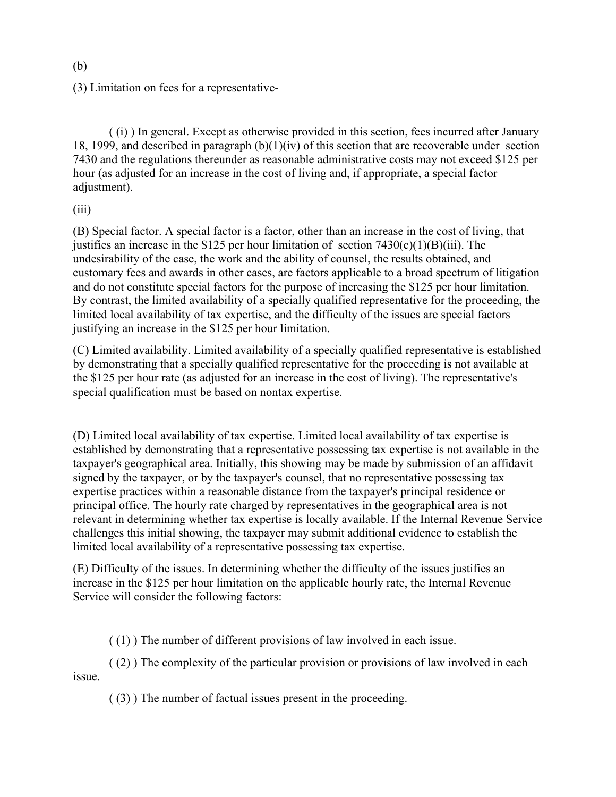(3) Limitation on fees for a representative-

( (i) ) In general. Except as otherwise provided in this section, fees incurred after January 18, 1999, and described in paragraph (b)(1)(iv) of this section that are recoverable under section 7430 and the regulations thereunder as reasonable administrative costs may not exceed \$125 per hour (as adjusted for an increase in the cost of living and, if appropriate, a special factor adjustment).

(iii)

(B) Special factor. A special factor is a factor, other than an increase in the cost of living, that justifies an increase in the \$125 per hour limitation of section  $7430(c)(1)(B)(iii)$ . The undesirability of the case, the work and the ability of counsel, the results obtained, and customary fees and awards in other cases, are factors applicable to a broad spectrum of litigation and do not constitute special factors for the purpose of increasing the \$125 per hour limitation. By contrast, the limited availability of a specially qualified representative for the proceeding, the limited local availability of tax expertise, and the difficulty of the issues are special factors justifying an increase in the \$125 per hour limitation.

(C) Limited availability. Limited availability of a specially qualified representative is established by demonstrating that a specially qualified representative for the proceeding is not available at the \$125 per hour rate (as adjusted for an increase in the cost of living). The representative's special qualification must be based on nontax expertise.

(D) Limited local availability of tax expertise. Limited local availability of tax expertise is established by demonstrating that a representative possessing tax expertise is not available in the taxpayer's geographical area. Initially, this showing may be made by submission of an affidavit signed by the taxpayer, or by the taxpayer's counsel, that no representative possessing tax expertise practices within a reasonable distance from the taxpayer's principal residence or principal office. The hourly rate charged by representatives in the geographical area is not relevant in determining whether tax expertise is locally available. If the Internal Revenue Service challenges this initial showing, the taxpayer may submit additional evidence to establish the limited local availability of a representative possessing tax expertise.

(E) Difficulty of the issues. In determining whether the difficulty of the issues justifies an increase in the \$125 per hour limitation on the applicable hourly rate, the Internal Revenue Service will consider the following factors:

( (1) ) The number of different provisions of law involved in each issue.

( (2) ) The complexity of the particular provision or provisions of law involved in each issue.

( (3) ) The number of factual issues present in the proceeding.

(b)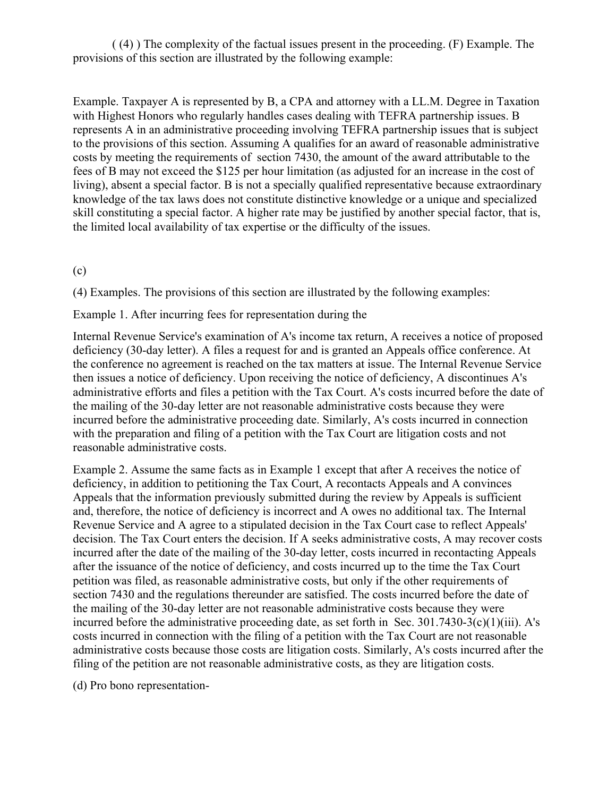( (4) ) The complexity of the factual issues present in the proceeding. (F) Example. The provisions of this section are illustrated by the following example:

Example. Taxpayer A is represented by B, a CPA and attorney with a LL.M. Degree in Taxation with Highest Honors who regularly handles cases dealing with TEFRA partnership issues. B represents A in an administrative proceeding involving TEFRA partnership issues that is subject to the provisions of this section. Assuming A qualifies for an award of reasonable administrative costs by meeting the requirements of section 7430, the amount of the award attributable to the fees of B may not exceed the \$125 per hour limitation (as adjusted for an increase in the cost of living), absent a special factor. B is not a specially qualified representative because extraordinary knowledge of the tax laws does not constitute distinctive knowledge or a unique and specialized skill constituting a special factor. A higher rate may be justified by another special factor, that is, the limited local availability of tax expertise or the difficulty of the issues.

(c)

(4) Examples. The provisions of this section are illustrated by the following examples:

Example 1. After incurring fees for representation during the

Internal Revenue Service's examination of A's income tax return, A receives a notice of proposed deficiency (30-day letter). A files a request for and is granted an Appeals office conference. At the conference no agreement is reached on the tax matters at issue. The Internal Revenue Service then issues a notice of deficiency. Upon receiving the notice of deficiency, A discontinues A's administrative efforts and files a petition with the Tax Court. A's costs incurred before the date of the mailing of the 30-day letter are not reasonable administrative costs because they were incurred before the administrative proceeding date. Similarly, A's costs incurred in connection with the preparation and filing of a petition with the Tax Court are litigation costs and not reasonable administrative costs.

Example 2. Assume the same facts as in Example 1 except that after A receives the notice of deficiency, in addition to petitioning the Tax Court, A recontacts Appeals and A convinces Appeals that the information previously submitted during the review by Appeals is sufficient and, therefore, the notice of deficiency is incorrect and A owes no additional tax. The Internal Revenue Service and A agree to a stipulated decision in the Tax Court case to reflect Appeals' decision. The Tax Court enters the decision. If A seeks administrative costs, A may recover costs incurred after the date of the mailing of the 30-day letter, costs incurred in recontacting Appeals after the issuance of the notice of deficiency, and costs incurred up to the time the Tax Court petition was filed, as reasonable administrative costs, but only if the other requirements of section 7430 and the regulations thereunder are satisfied. The costs incurred before the date of the mailing of the 30-day letter are not reasonable administrative costs because they were incurred before the administrative proceeding date, as set forth in Sec. 301.7430-3(c)(1)(iii). A's costs incurred in connection with the filing of a petition with the Tax Court are not reasonable administrative costs because those costs are litigation costs. Similarly, A's costs incurred after the filing of the petition are not reasonable administrative costs, as they are litigation costs.

(d) Pro bono representation-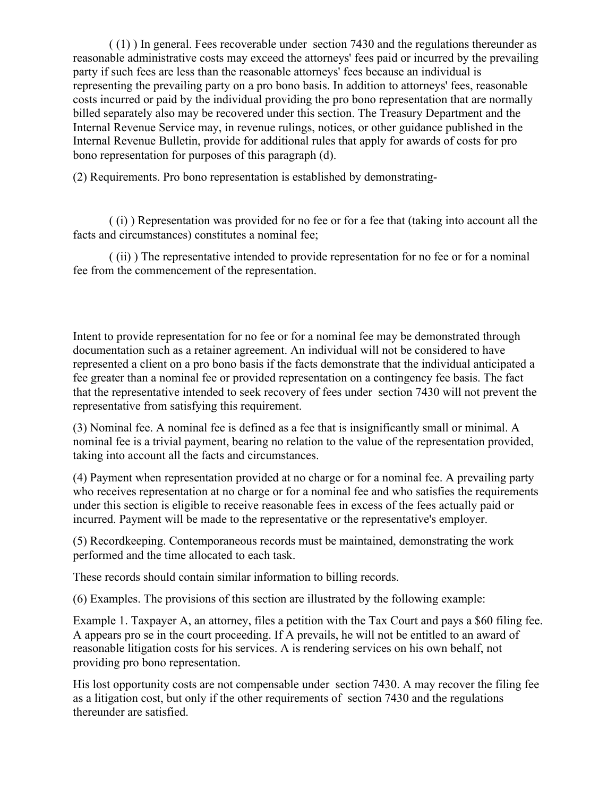( (1) ) In general. Fees recoverable under section 7430 and the regulations thereunder as reasonable administrative costs may exceed the attorneys' fees paid or incurred by the prevailing party if such fees are less than the reasonable attorneys' fees because an individual is representing the prevailing party on a pro bono basis. In addition to attorneys' fees, reasonable costs incurred or paid by the individual providing the pro bono representation that are normally billed separately also may be recovered under this section. The Treasury Department and the Internal Revenue Service may, in revenue rulings, notices, or other guidance published in the Internal Revenue Bulletin, provide for additional rules that apply for awards of costs for pro bono representation for purposes of this paragraph (d).

(2) Requirements. Pro bono representation is established by demonstrating-

( (i) ) Representation was provided for no fee or for a fee that (taking into account all the facts and circumstances) constitutes a nominal fee;

( (ii) ) The representative intended to provide representation for no fee or for a nominal fee from the commencement of the representation.

Intent to provide representation for no fee or for a nominal fee may be demonstrated through documentation such as a retainer agreement. An individual will not be considered to have represented a client on a pro bono basis if the facts demonstrate that the individual anticipated a fee greater than a nominal fee or provided representation on a contingency fee basis. The fact that the representative intended to seek recovery of fees under section 7430 will not prevent the representative from satisfying this requirement.

(3) Nominal fee. A nominal fee is defined as a fee that is insignificantly small or minimal. A nominal fee is a trivial payment, bearing no relation to the value of the representation provided, taking into account all the facts and circumstances.

(4) Payment when representation provided at no charge or for a nominal fee. A prevailing party who receives representation at no charge or for a nominal fee and who satisfies the requirements under this section is eligible to receive reasonable fees in excess of the fees actually paid or incurred. Payment will be made to the representative or the representative's employer.

(5) Recordkeeping. Contemporaneous records must be maintained, demonstrating the work performed and the time allocated to each task.

These records should contain similar information to billing records.

(6) Examples. The provisions of this section are illustrated by the following example:

Example 1. Taxpayer A, an attorney, files a petition with the Tax Court and pays a \$60 filing fee. A appears pro se in the court proceeding. If A prevails, he will not be entitled to an award of reasonable litigation costs for his services. A is rendering services on his own behalf, not providing pro bono representation.

His lost opportunity costs are not compensable under section 7430. A may recover the filing fee as a litigation cost, but only if the other requirements of section 7430 and the regulations thereunder are satisfied.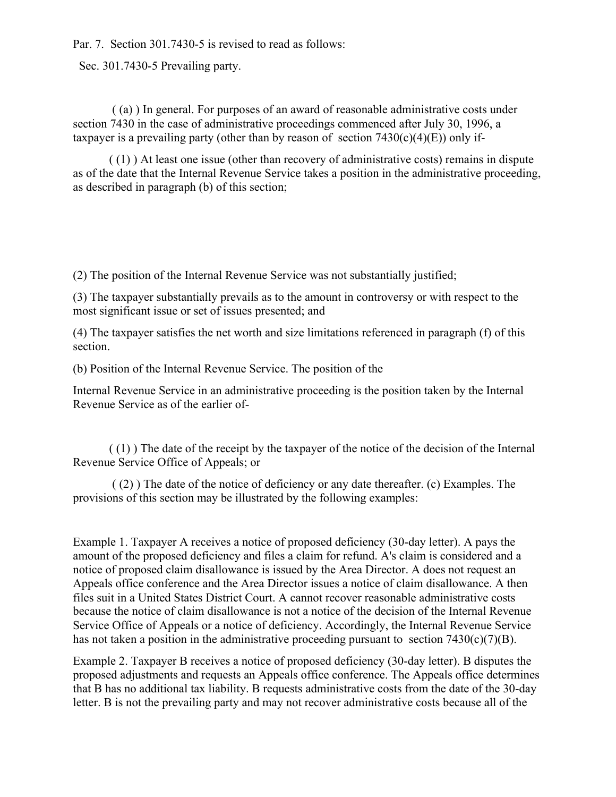Par. 7. Section 301.7430-5 is revised to read as follows:

Sec. 301.7430-5 Prevailing party.

( (a) ) In general. For purposes of an award of reasonable administrative costs under section 7430 in the case of administrative proceedings commenced after July 30, 1996, a taxpayer is a prevailing party (other than by reason of section  $7430(c)(4)(E)$ ) only if-

( (1) ) At least one issue (other than recovery of administrative costs) remains in dispute as of the date that the Internal Revenue Service takes a position in the administrative proceeding, as described in paragraph (b) of this section;

(2) The position of the Internal Revenue Service was not substantially justified;

(3) The taxpayer substantially prevails as to the amount in controversy or with respect to the most significant issue or set of issues presented; and

(4) The taxpayer satisfies the net worth and size limitations referenced in paragraph (f) of this section.

(b) Position of the Internal Revenue Service. The position of the

Internal Revenue Service in an administrative proceeding is the position taken by the Internal Revenue Service as of the earlier of-

( (1) ) The date of the receipt by the taxpayer of the notice of the decision of the Internal Revenue Service Office of Appeals; or

( (2) ) The date of the notice of deficiency or any date thereafter. (c) Examples. The provisions of this section may be illustrated by the following examples:

Example 1. Taxpayer A receives a notice of proposed deficiency (30-day letter). A pays the amount of the proposed deficiency and files a claim for refund. A's claim is considered and a notice of proposed claim disallowance is issued by the Area Director. A does not request an Appeals office conference and the Area Director issues a notice of claim disallowance. A then files suit in a United States District Court. A cannot recover reasonable administrative costs because the notice of claim disallowance is not a notice of the decision of the Internal Revenue Service Office of Appeals or a notice of deficiency. Accordingly, the Internal Revenue Service has not taken a position in the administrative proceeding pursuant to section  $7430(c)(7)(B)$ .

Example 2. Taxpayer B receives a notice of proposed deficiency (30-day letter). B disputes the proposed adjustments and requests an Appeals office conference. The Appeals office determines that B has no additional tax liability. B requests administrative costs from the date of the 30-day letter. B is not the prevailing party and may not recover administrative costs because all of the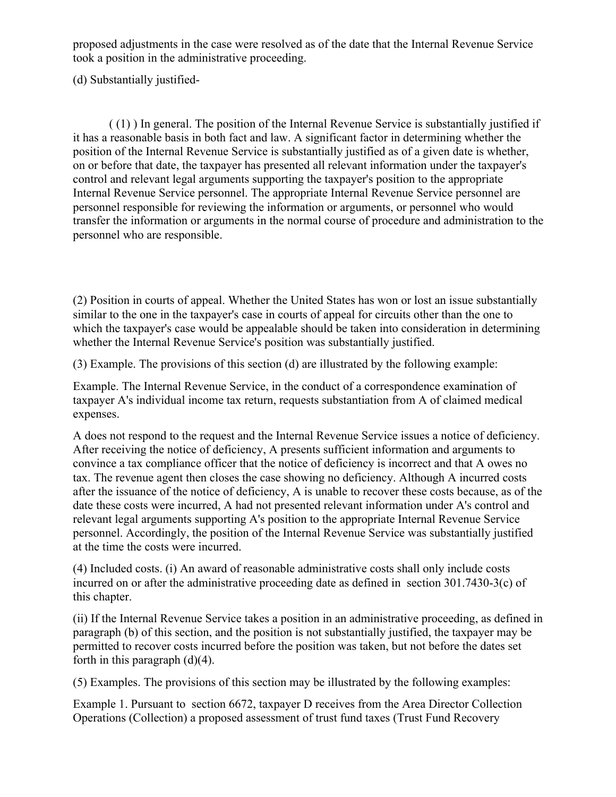proposed adjustments in the case were resolved as of the date that the Internal Revenue Service took a position in the administrative proceeding.

(d) Substantially justified-

( (1) ) In general. The position of the Internal Revenue Service is substantially justified if it has a reasonable basis in both fact and law. A significant factor in determining whether the position of the Internal Revenue Service is substantially justified as of a given date is whether, on or before that date, the taxpayer has presented all relevant information under the taxpayer's control and relevant legal arguments supporting the taxpayer's position to the appropriate Internal Revenue Service personnel. The appropriate Internal Revenue Service personnel are personnel responsible for reviewing the information or arguments, or personnel who would transfer the information or arguments in the normal course of procedure and administration to the personnel who are responsible.

(2) Position in courts of appeal. Whether the United States has won or lost an issue substantially similar to the one in the taxpayer's case in courts of appeal for circuits other than the one to which the taxpayer's case would be appealable should be taken into consideration in determining whether the Internal Revenue Service's position was substantially justified.

(3) Example. The provisions of this section (d) are illustrated by the following example:

Example. The Internal Revenue Service, in the conduct of a correspondence examination of taxpayer A's individual income tax return, requests substantiation from A of claimed medical expenses.

A does not respond to the request and the Internal Revenue Service issues a notice of deficiency. After receiving the notice of deficiency, A presents sufficient information and arguments to convince a tax compliance officer that the notice of deficiency is incorrect and that A owes no tax. The revenue agent then closes the case showing no deficiency. Although A incurred costs after the issuance of the notice of deficiency, A is unable to recover these costs because, as of the date these costs were incurred, A had not presented relevant information under A's control and relevant legal arguments supporting A's position to the appropriate Internal Revenue Service personnel. Accordingly, the position of the Internal Revenue Service was substantially justified at the time the costs were incurred.

(4) Included costs. (i) An award of reasonable administrative costs shall only include costs incurred on or after the administrative proceeding date as defined in section 301.7430-3(c) of this chapter.

(ii) If the Internal Revenue Service takes a position in an administrative proceeding, as defined in paragraph (b) of this section, and the position is not substantially justified, the taxpayer may be permitted to recover costs incurred before the position was taken, but not before the dates set forth in this paragraph  $(d)(4)$ .

(5) Examples. The provisions of this section may be illustrated by the following examples:

Example 1. Pursuant to section 6672, taxpayer D receives from the Area Director Collection Operations (Collection) a proposed assessment of trust fund taxes (Trust Fund Recovery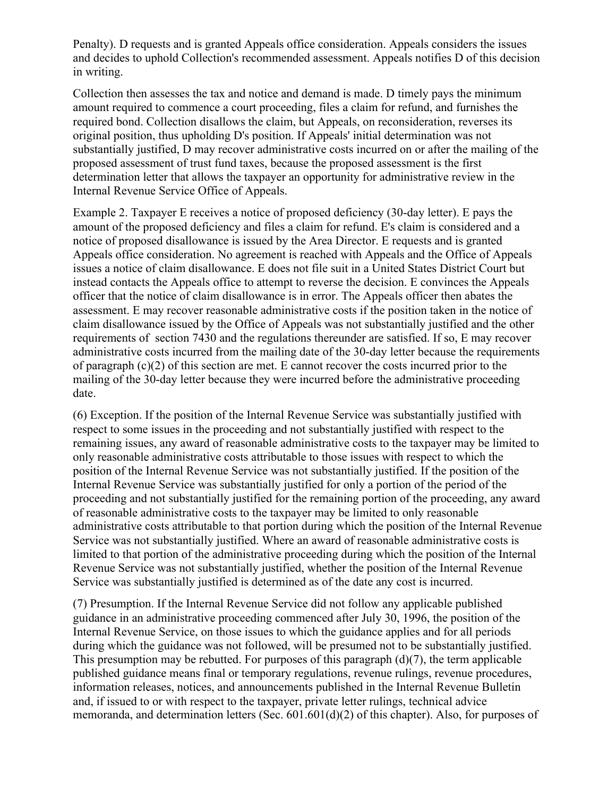Penalty). D requests and is granted Appeals office consideration. Appeals considers the issues and decides to uphold Collection's recommended assessment. Appeals notifies D of this decision in writing.

Collection then assesses the tax and notice and demand is made. D timely pays the minimum amount required to commence a court proceeding, files a claim for refund, and furnishes the required bond. Collection disallows the claim, but Appeals, on reconsideration, reverses its original position, thus upholding D's position. If Appeals' initial determination was not substantially justified, D may recover administrative costs incurred on or after the mailing of the proposed assessment of trust fund taxes, because the proposed assessment is the first determination letter that allows the taxpayer an opportunity for administrative review in the Internal Revenue Service Office of Appeals.

Example 2. Taxpayer E receives a notice of proposed deficiency (30-day letter). E pays the amount of the proposed deficiency and files a claim for refund. E's claim is considered and a notice of proposed disallowance is issued by the Area Director. E requests and is granted Appeals office consideration. No agreement is reached with Appeals and the Office of Appeals issues a notice of claim disallowance. E does not file suit in a United States District Court but instead contacts the Appeals office to attempt to reverse the decision. E convinces the Appeals officer that the notice of claim disallowance is in error. The Appeals officer then abates the assessment. E may recover reasonable administrative costs if the position taken in the notice of claim disallowance issued by the Office of Appeals was not substantially justified and the other requirements of section 7430 and the regulations thereunder are satisfied. If so, E may recover administrative costs incurred from the mailing date of the 30-day letter because the requirements of paragraph (c)(2) of this section are met. E cannot recover the costs incurred prior to the mailing of the 30-day letter because they were incurred before the administrative proceeding date.

(6) Exception. If the position of the Internal Revenue Service was substantially justified with respect to some issues in the proceeding and not substantially justified with respect to the remaining issues, any award of reasonable administrative costs to the taxpayer may be limited to only reasonable administrative costs attributable to those issues with respect to which the position of the Internal Revenue Service was not substantially justified. If the position of the Internal Revenue Service was substantially justified for only a portion of the period of the proceeding and not substantially justified for the remaining portion of the proceeding, any award of reasonable administrative costs to the taxpayer may be limited to only reasonable administrative costs attributable to that portion during which the position of the Internal Revenue Service was not substantially justified. Where an award of reasonable administrative costs is limited to that portion of the administrative proceeding during which the position of the Internal Revenue Service was not substantially justified, whether the position of the Internal Revenue Service was substantially justified is determined as of the date any cost is incurred.

(7) Presumption. If the Internal Revenue Service did not follow any applicable published guidance in an administrative proceeding commenced after July 30, 1996, the position of the Internal Revenue Service, on those issues to which the guidance applies and for all periods during which the guidance was not followed, will be presumed not to be substantially justified. This presumption may be rebutted. For purposes of this paragraph (d)(7), the term applicable published guidance means final or temporary regulations, revenue rulings, revenue procedures, information releases, notices, and announcements published in the Internal Revenue Bulletin and, if issued to or with respect to the taxpayer, private letter rulings, technical advice memoranda, and determination letters (Sec. 601.601(d)(2) of this chapter). Also, for purposes of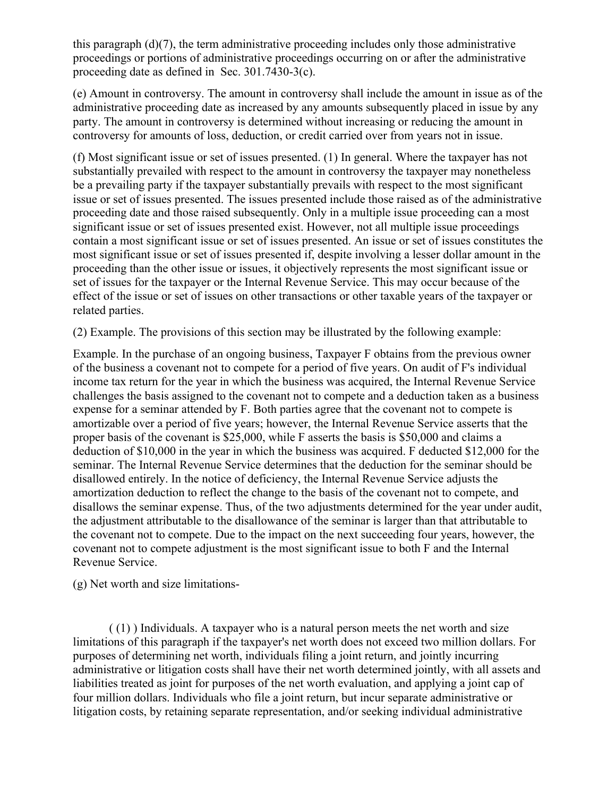this paragraph (d)(7), the term administrative proceeding includes only those administrative proceedings or portions of administrative proceedings occurring on or after the administrative proceeding date as defined in Sec. 301.7430-3(c).

(e) Amount in controversy. The amount in controversy shall include the amount in issue as of the administrative proceeding date as increased by any amounts subsequently placed in issue by any party. The amount in controversy is determined without increasing or reducing the amount in controversy for amounts of loss, deduction, or credit carried over from years not in issue.

(f) Most significant issue or set of issues presented. (1) In general. Where the taxpayer has not substantially prevailed with respect to the amount in controversy the taxpayer may nonetheless be a prevailing party if the taxpayer substantially prevails with respect to the most significant issue or set of issues presented. The issues presented include those raised as of the administrative proceeding date and those raised subsequently. Only in a multiple issue proceeding can a most significant issue or set of issues presented exist. However, not all multiple issue proceedings contain a most significant issue or set of issues presented. An issue or set of issues constitutes the most significant issue or set of issues presented if, despite involving a lesser dollar amount in the proceeding than the other issue or issues, it objectively represents the most significant issue or set of issues for the taxpayer or the Internal Revenue Service. This may occur because of the effect of the issue or set of issues on other transactions or other taxable years of the taxpayer or related parties.

(2) Example. The provisions of this section may be illustrated by the following example:

Example. In the purchase of an ongoing business, Taxpayer F obtains from the previous owner of the business a covenant not to compete for a period of five years. On audit of F's individual income tax return for the year in which the business was acquired, the Internal Revenue Service challenges the basis assigned to the covenant not to compete and a deduction taken as a business expense for a seminar attended by F. Both parties agree that the covenant not to compete is amortizable over a period of five years; however, the Internal Revenue Service asserts that the proper basis of the covenant is \$25,000, while F asserts the basis is \$50,000 and claims a deduction of \$10,000 in the year in which the business was acquired. F deducted \$12,000 for the seminar. The Internal Revenue Service determines that the deduction for the seminar should be disallowed entirely. In the notice of deficiency, the Internal Revenue Service adjusts the amortization deduction to reflect the change to the basis of the covenant not to compete, and disallows the seminar expense. Thus, of the two adjustments determined for the year under audit, the adjustment attributable to the disallowance of the seminar is larger than that attributable to the covenant not to compete. Due to the impact on the next succeeding four years, however, the covenant not to compete adjustment is the most significant issue to both F and the Internal Revenue Service.

(g) Net worth and size limitations-

 $(1)$ ) Individuals. A taxpayer who is a natural person meets the net worth and size limitations of this paragraph if the taxpayer's net worth does not exceed two million dollars. For purposes of determining net worth, individuals filing a joint return, and jointly incurring administrative or litigation costs shall have their net worth determined jointly, with all assets and liabilities treated as joint for purposes of the net worth evaluation, and applying a joint cap of four million dollars. Individuals who file a joint return, but incur separate administrative or litigation costs, by retaining separate representation, and/or seeking individual administrative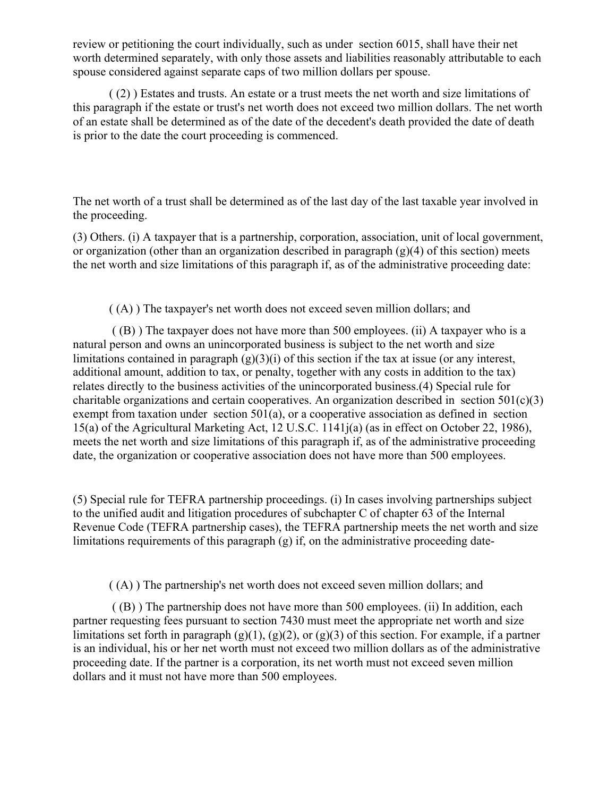review or petitioning the court individually, such as under section 6015, shall have their net worth determined separately, with only those assets and liabilities reasonably attributable to each spouse considered against separate caps of two million dollars per spouse.

( (2) ) Estates and trusts. An estate or a trust meets the net worth and size limitations of this paragraph if the estate or trust's net worth does not exceed two million dollars. The net worth of an estate shall be determined as of the date of the decedent's death provided the date of death is prior to the date the court proceeding is commenced.

The net worth of a trust shall be determined as of the last day of the last taxable year involved in the proceeding.

(3) Others. (i) A taxpayer that is a partnership, corporation, association, unit of local government, or organization (other than an organization described in paragraph  $(g)(4)$  of this section) meets the net worth and size limitations of this paragraph if, as of the administrative proceeding date:

( (A) ) The taxpayer's net worth does not exceed seven million dollars; and

( (B) ) The taxpayer does not have more than 500 employees. (ii) A taxpayer who is a natural person and owns an unincorporated business is subject to the net worth and size limitations contained in paragraph  $(g)(3)(i)$  of this section if the tax at issue (or any interest, additional amount, addition to tax, or penalty, together with any costs in addition to the tax) relates directly to the business activities of the unincorporated business.(4) Special rule for charitable organizations and certain cooperatives. An organization described in section  $501(c)(3)$ exempt from taxation under section 501(a), or a cooperative association as defined in section 15(a) of the Agricultural Marketing Act, 12 U.S.C. 1141j(a) (as in effect on October 22, 1986), meets the net worth and size limitations of this paragraph if, as of the administrative proceeding date, the organization or cooperative association does not have more than 500 employees.

(5) Special rule for TEFRA partnership proceedings. (i) In cases involving partnerships subject to the unified audit and litigation procedures of subchapter C of chapter 63 of the Internal Revenue Code (TEFRA partnership cases), the TEFRA partnership meets the net worth and size limitations requirements of this paragraph (g) if, on the administrative proceeding date-

( (A) ) The partnership's net worth does not exceed seven million dollars; and

( (B) ) The partnership does not have more than 500 employees. (ii) In addition, each partner requesting fees pursuant to section 7430 must meet the appropriate net worth and size limitations set forth in paragraph  $(g)(1)$ ,  $(g)(2)$ , or  $(g)(3)$  of this section. For example, if a partner is an individual, his or her net worth must not exceed two million dollars as of the administrative proceeding date. If the partner is a corporation, its net worth must not exceed seven million dollars and it must not have more than 500 employees.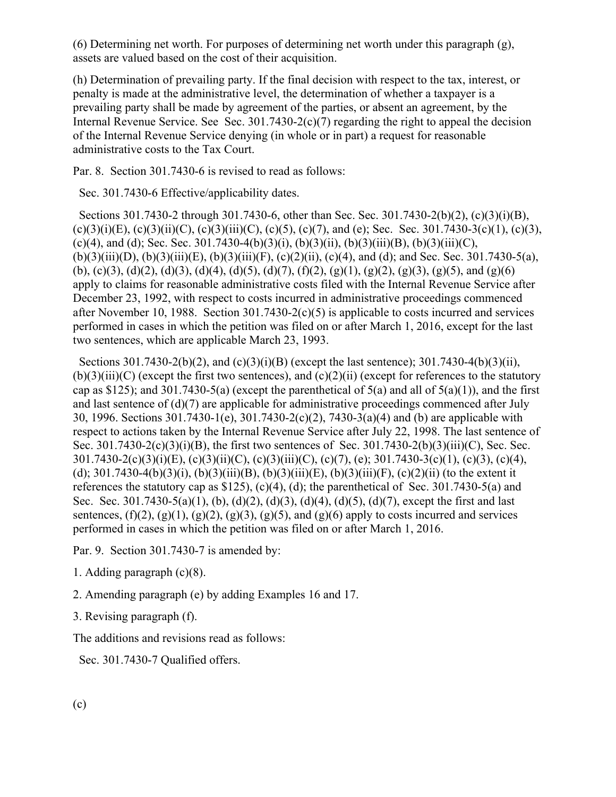(6) Determining net worth. For purposes of determining net worth under this paragraph (g), assets are valued based on the cost of their acquisition.

(h) Determination of prevailing party. If the final decision with respect to the tax, interest, or penalty is made at the administrative level, the determination of whether a taxpayer is a prevailing party shall be made by agreement of the parties, or absent an agreement, by the Internal Revenue Service. See Sec. 301.7430-2(c)(7) regarding the right to appeal the decision of the Internal Revenue Service denying (in whole or in part) a request for reasonable administrative costs to the Tax Court.

Par. 8. Section 301.7430-6 is revised to read as follows:

Sec. 301.7430-6 Effective/applicability dates.

 Sections 301.7430-2 through 301.7430-6, other than Sec. Sec. 301.7430-2(b)(2), (c)(3)(i)(B), (c)(3)(i)(E), (c)(3)(ii)(C), (c)(3)(iii)(C), (c)(5), (c)(7), and (e); Sec. Sec. 301.7430-3(c)(1), (c)(3), (c)(4), and (d); Sec. Sec. 301.7430-4(b)(3)(i), (b)(3)(ii), (b)(3)(iii)(B), (b)(3)(iii)(C),  $(b)(3)(iii)(D)$ ,  $(b)(3)(iii)(E)$ ,  $(b)(3)(iii)(F)$ ,  $(c)(2)(ii)$ ,  $(c)(4)$ , and (d); and Sec. Sec. 301.7430-5(a), (b), (c)(3), (d)(2), (d)(3), (d)(4), (d)(5), (d)(7), (f)(2), (g)(1), (g)(2), (g)(3), (g)(5), and (g)(6) apply to claims for reasonable administrative costs filed with the Internal Revenue Service after December 23, 1992, with respect to costs incurred in administrative proceedings commenced after November 10, 1988. Section 301.7430-2(c)(5) is applicable to costs incurred and services performed in cases in which the petition was filed on or after March 1, 2016, except for the last two sentences, which are applicable March 23, 1993.

Sections 301.7430-2(b)(2), and (c)(3)(i)(B) (except the last sentence); 301.7430-4(b)(3)(ii),  $(b)(3)(iii)(C)$  (except the first two sentences), and  $(c)(2)(ii)$  (except for references to the statutory cap as \$125); and 301.7430-5(a) (except the parenthetical of  $5(a)$  and all of  $5(a)(1)$ ), and the first and last sentence of (d)(7) are applicable for administrative proceedings commenced after July 30, 1996. Sections 301.7430-1(e), 301.7430-2(c)(2), 7430-3(a)(4) and (b) are applicable with respect to actions taken by the Internal Revenue Service after July 22, 1998. The last sentence of Sec. 301.7430-2(c)(3)(i)(B), the first two sentences of Sec. 301.7430-2(b)(3)(iii)(C), Sec. Sec. 301.7430-2(c)(3)(i)(E), (c)(3)(ii)(C), (c)(3)(iii)(C), (c)(7), (e); 301.7430-3(c)(1), (c)(3), (c)(4), (d); 301.7430-4(b)(3)(i), (b)(3)(iii)(B), (b)(3)(iii)(E), (b)(3)(iii)(F), (c)(2)(ii) (to the extent it references the statutory cap as \$125), (c)(4), (d); the parenthetical of Sec. 301.7430-5(a) and Sec. Sec. 301.7430-5(a)(1), (b), (d)(2), (d)(3), (d)(4), (d)(5), (d)(7), except the first and last sentences,  $(f)(2)$ ,  $(g)(1)$ ,  $(g)(2)$ ,  $(g)(3)$ ,  $(g)(5)$ , and  $(g)(6)$  apply to costs incurred and services performed in cases in which the petition was filed on or after March 1, 2016.

Par. 9. Section 301.7430-7 is amended by:

- 1. Adding paragraph (c)(8).
- 2. Amending paragraph (e) by adding Examples 16 and 17.

3. Revising paragraph (f).

The additions and revisions read as follows:

Sec. 301.7430-7 Qualified offers.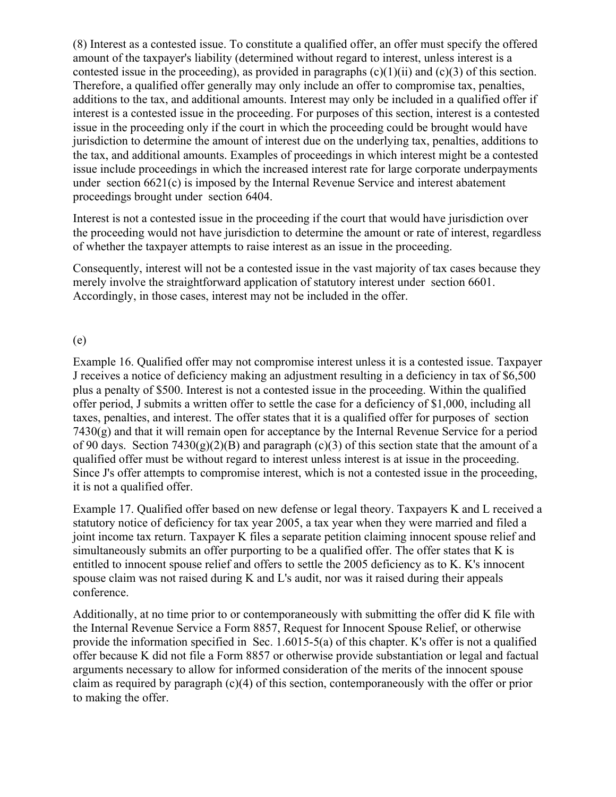(8) Interest as a contested issue. To constitute a qualified offer, an offer must specify the offered amount of the taxpayer's liability (determined without regard to interest, unless interest is a contested issue in the proceeding), as provided in paragraphs  $(c)(1)(ii)$  and  $(c)(3)$  of this section. Therefore, a qualified offer generally may only include an offer to compromise tax, penalties, additions to the tax, and additional amounts. Interest may only be included in a qualified offer if interest is a contested issue in the proceeding. For purposes of this section, interest is a contested issue in the proceeding only if the court in which the proceeding could be brought would have jurisdiction to determine the amount of interest due on the underlying tax, penalties, additions to the tax, and additional amounts. Examples of proceedings in which interest might be a contested issue include proceedings in which the increased interest rate for large corporate underpayments under section 6621(c) is imposed by the Internal Revenue Service and interest abatement proceedings brought under section 6404.

Interest is not a contested issue in the proceeding if the court that would have jurisdiction over the proceeding would not have jurisdiction to determine the amount or rate of interest, regardless of whether the taxpayer attempts to raise interest as an issue in the proceeding.

Consequently, interest will not be a contested issue in the vast majority of tax cases because they merely involve the straightforward application of statutory interest under section 6601. Accordingly, in those cases, interest may not be included in the offer.

#### (e)

Example 16. Qualified offer may not compromise interest unless it is a contested issue. Taxpayer J receives a notice of deficiency making an adjustment resulting in a deficiency in tax of \$6,500 plus a penalty of \$500. Interest is not a contested issue in the proceeding. Within the qualified offer period, J submits a written offer to settle the case for a deficiency of \$1,000, including all taxes, penalties, and interest. The offer states that it is a qualified offer for purposes of section 7430(g) and that it will remain open for acceptance by the Internal Revenue Service for a period of 90 days. Section 7430(g)(2)(B) and paragraph (c)(3) of this section state that the amount of a qualified offer must be without regard to interest unless interest is at issue in the proceeding. Since J's offer attempts to compromise interest, which is not a contested issue in the proceeding, it is not a qualified offer.

Example 17. Qualified offer based on new defense or legal theory. Taxpayers K and L received a statutory notice of deficiency for tax year 2005, a tax year when they were married and filed a joint income tax return. Taxpayer K files a separate petition claiming innocent spouse relief and simultaneously submits an offer purporting to be a qualified offer. The offer states that K is entitled to innocent spouse relief and offers to settle the 2005 deficiency as to K. K's innocent spouse claim was not raised during K and L's audit, nor was it raised during their appeals conference.

Additionally, at no time prior to or contemporaneously with submitting the offer did K file with the Internal Revenue Service a Form 8857, Request for Innocent Spouse Relief, or otherwise provide the information specified in Sec. 1.6015-5(a) of this chapter. K's offer is not a qualified offer because K did not file a Form 8857 or otherwise provide substantiation or legal and factual arguments necessary to allow for informed consideration of the merits of the innocent spouse claim as required by paragraph  $(c)(4)$  of this section, contemporaneously with the offer or prior to making the offer.